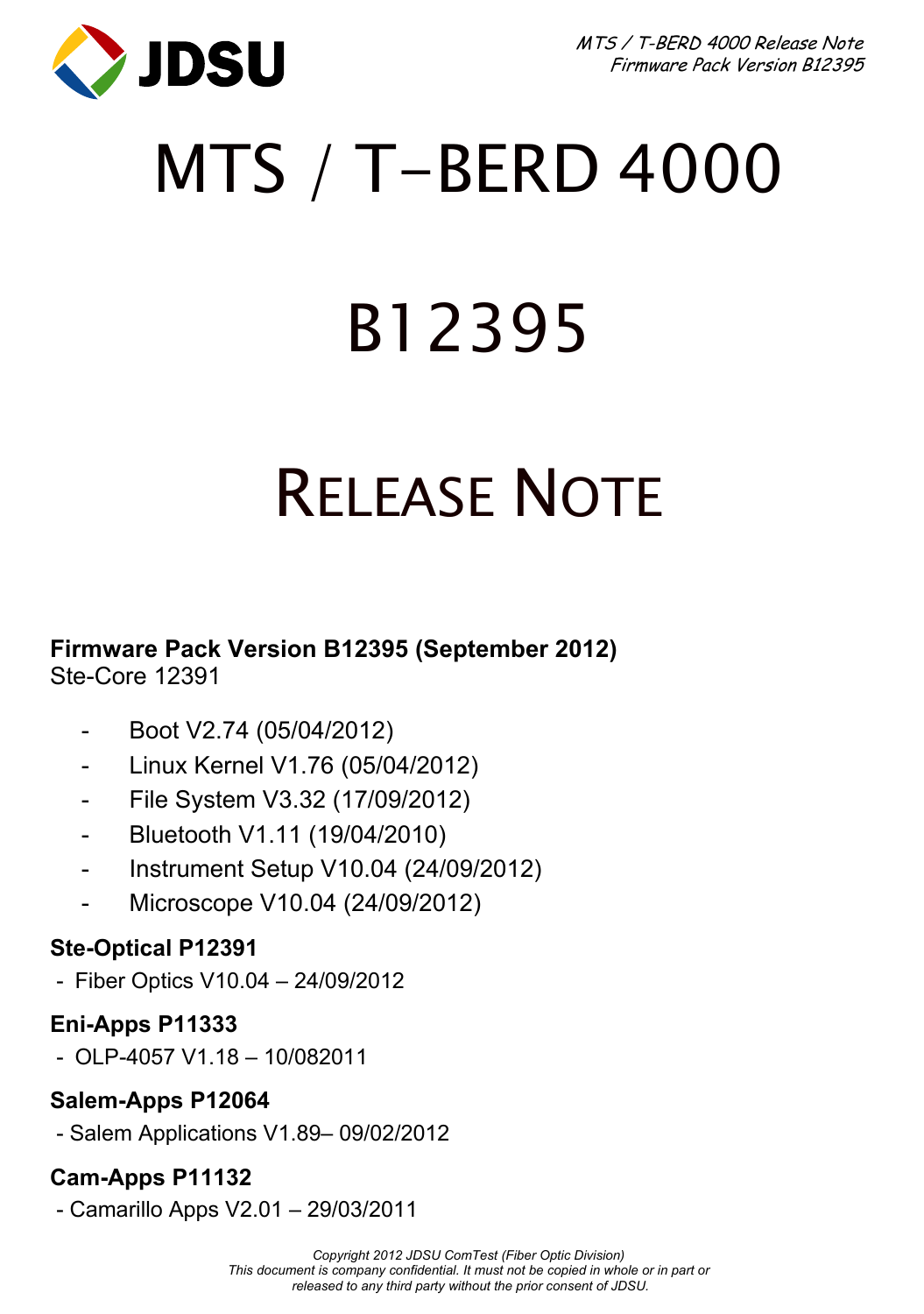

# MTS / T-BERD 4000

# B12395

## RELEASE NOTE

**Firmware Pack Version B12395 (September 2012)**  Ste-Core 12391

- Boot V2.74 (05/04/2012)
- Linux Kernel V1.76 (05/04/2012)
- File System V3.32 (17/09/2012)
- Bluetooth V1.11 (19/04/2010)
- Instrument Setup V10.04 (24/09/2012)
- Microscope V10.04 (24/09/2012)

### **Ste-Optical P12391**

- Fiber Optics V10.04 – 24/09/2012

### **Eni-Apps P11333**

- OLP-4057 V1.18 – 10/082011

## **Salem-Apps P12064**

- Salem Applications V1.89– 09/02/2012

## **Cam-Apps P11132**

- Camarillo Apps V2.01 – 29/03/2011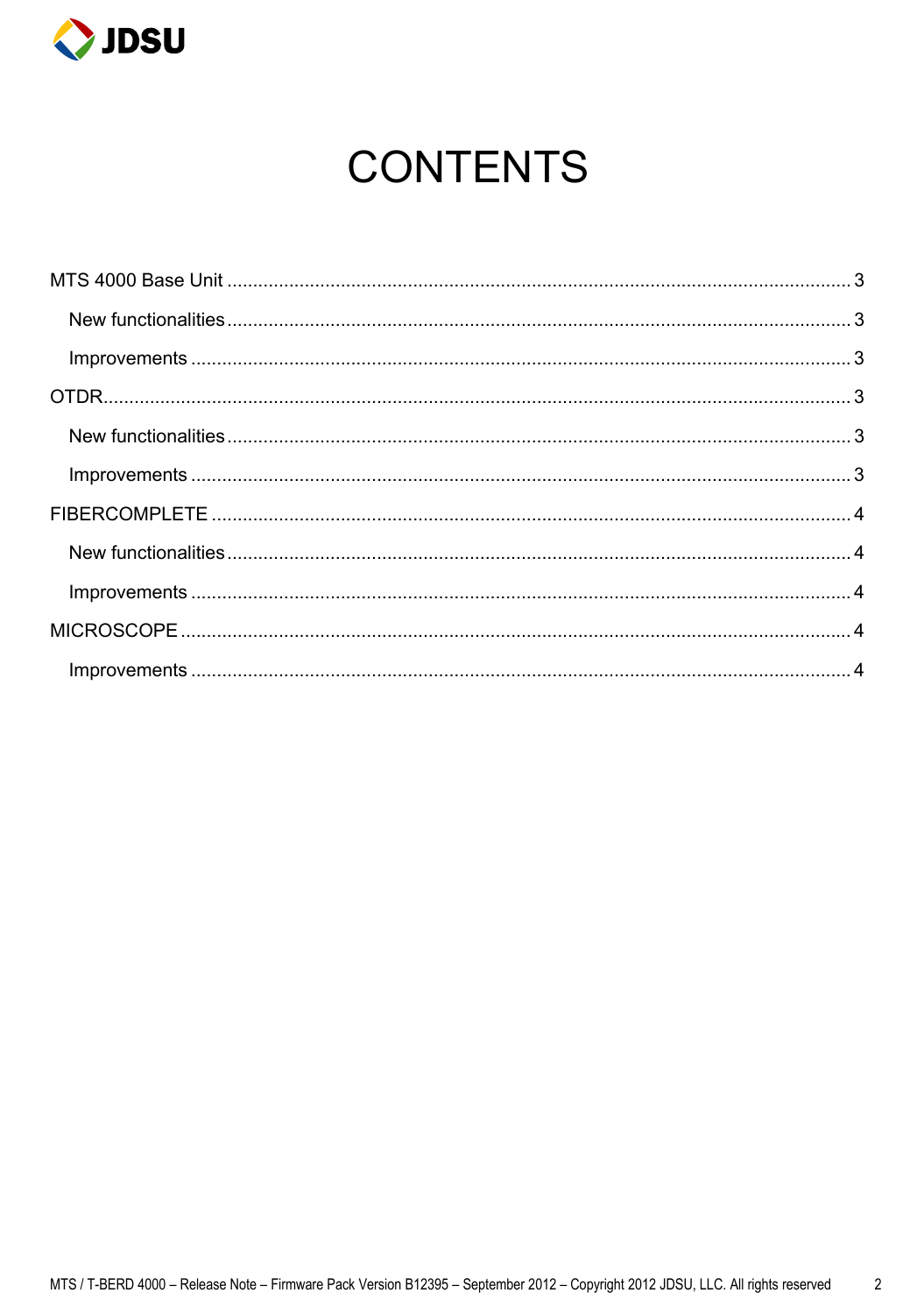

## **CONTENTS**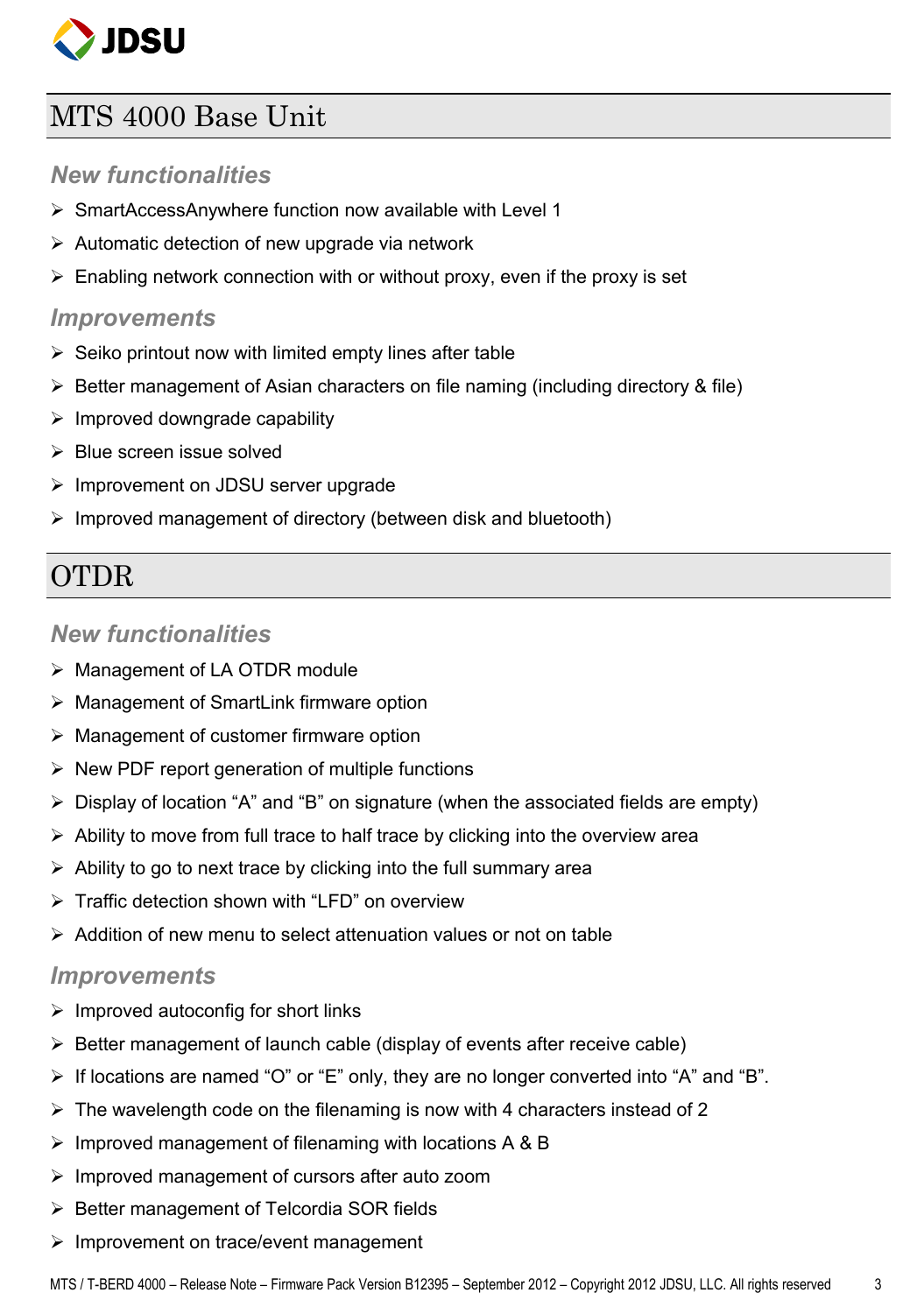

## <span id="page-2-0"></span>MTS 4000 Base Unit

#### *New functionalities*

- <span id="page-2-1"></span> $\triangleright$  SmartAccessAnywhere function now available with Level 1
- $\triangleright$  Automatic detection of new upgrade via network
- $\triangleright$  Enabling network connection with or without proxy, even if the proxy is set

#### <span id="page-2-2"></span>*Improvements*

- $\triangleright$  Seiko printout now with limited empty lines after table
- $\triangleright$  Better management of Asian characters on file naming (including directory & file)
- $\triangleright$  Improved downgrade capability
- $\triangleright$  Blue screen issue solved
- $\triangleright$  Improvement on JDSU server upgrade
- $\triangleright$  Improved management of directory (between disk and bluetooth)

## <span id="page-2-3"></span>**OTDR**

#### *New functionalities*

- <span id="page-2-4"></span>> Management of LA OTDR module
- Management of SmartLink firmware option
- $\triangleright$  Management of customer firmware option
- $\triangleright$  New PDF report generation of multiple functions
- $\triangleright$  Display of location "A" and "B" on signature (when the associated fields are empty)
- $\triangleright$  Ability to move from full trace to half trace by clicking into the overview area
- $\triangleright$  Ability to go to next trace by clicking into the full summary area
- $\triangleright$  Traffic detection shown with "LFD" on overview
- $\geq$  Addition of new menu to select attenuation values or not on table

#### <span id="page-2-5"></span>*Improvements*

- $\triangleright$  Improved autoconfig for short links
- $\triangleright$  Better management of launch cable (display of events after receive cable)
- $\triangleright$  If locations are named "O" or "E" only, they are no longer converted into "A" and "B".
- $\triangleright$  The wavelength code on the filenaming is now with 4 characters instead of 2
- $\triangleright$  Improved management of filenaming with locations A & B
- $\triangleright$  Improved management of cursors after auto zoom
- $\triangleright$  Better management of Telcordia SOR fields
- $\triangleright$  Improvement on trace/event management